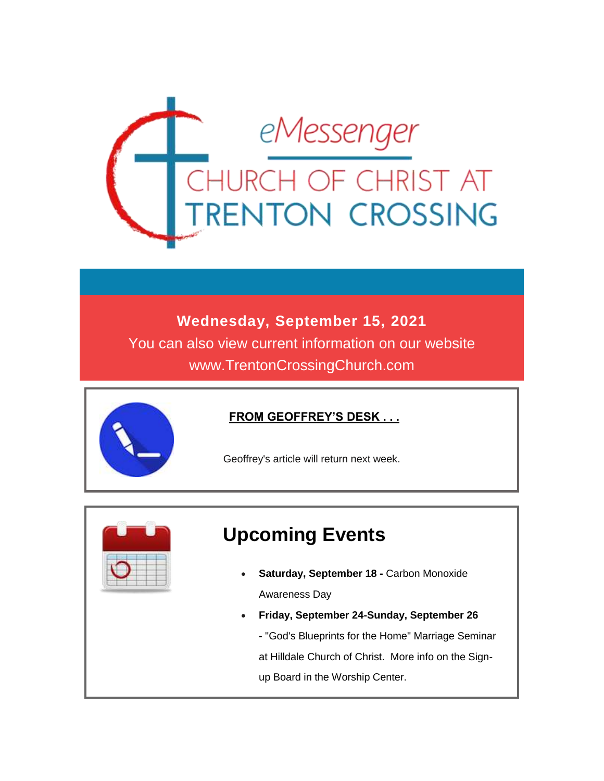

## **Wednesday, September 15, 2021**

You can also view current information on our website www.TrentonCrossingChurch.com



### **FROM GEOFFREY'S DESK . . .**

Geoffrey's article will return next week.



# **Upcoming Events**

- **Saturday, September 18 -** Carbon Monoxide Awareness Day
- **Friday, September 24-Sunday, September 26**

**-** "God's Blueprints for the Home" Marriage Seminar at Hilldale Church of Christ. More info on the Signup Board in the Worship Center.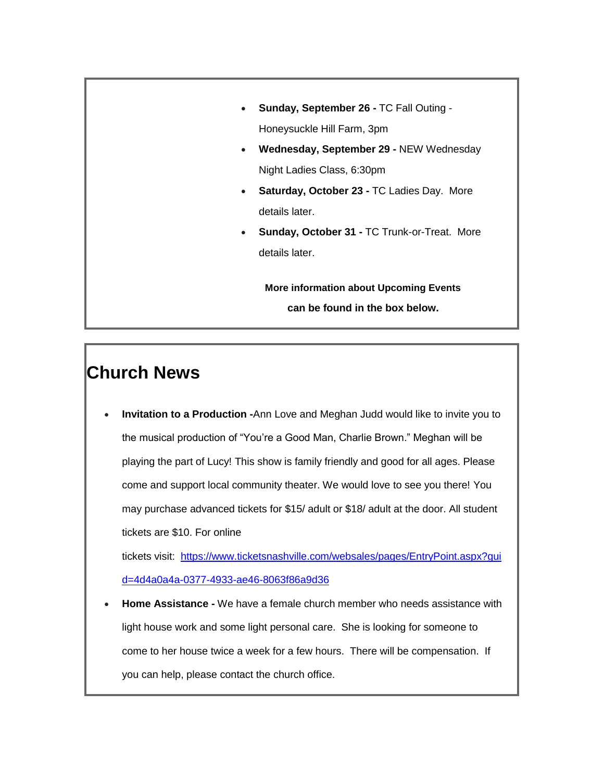- **Sunday, September 26 -** TC Fall Outing Honeysuckle Hill Farm, 3pm
- **Wednesday, September 29 -** NEW Wednesday Night Ladies Class, 6:30pm
- **Saturday, October 23 -** TC Ladies Day. More details later.
- **Sunday, October 31 -** TC Trunk-or-Treat. More details later.

**More information about Upcoming Events can be found in the box below.**

# **Church News**

 **Invitation to a Production -**Ann Love and Meghan Judd would like to invite you to the musical production of "You're a Good Man, Charlie Brown." Meghan will be playing the part of Lucy! This show is family friendly and good for all ages. Please come and support local community theater. We would love to see you there! You may purchase advanced tickets for \$15/ adult or \$18/ adult at the door. All student tickets are \$10. For online

tickets visit: [https://www.ticketsnashville.com/websales/pages/EntryPoint.aspx?gui](https://www.ticketsnashville.com/websales/pages/EntryPoint.aspx?guid=4d4a0a4a-0377-4933-ae46-8063f86a9d36) [d=4d4a0a4a-0377-4933-ae46-8063f86a9d36](https://www.ticketsnashville.com/websales/pages/EntryPoint.aspx?guid=4d4a0a4a-0377-4933-ae46-8063f86a9d36)

 **Home Assistance -** We have a female church member who needs assistance with light house work and some light personal care. She is looking for someone to come to her house twice a week for a few hours. There will be compensation. If you can help, please contact the church office.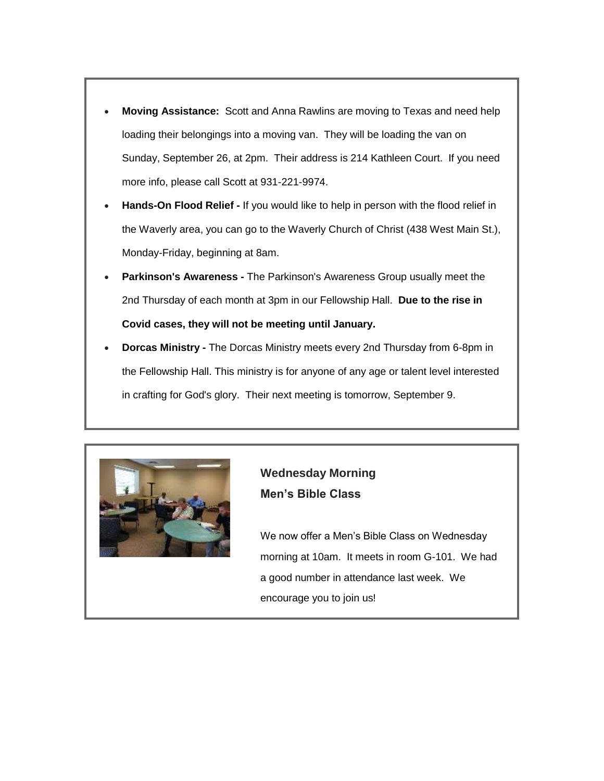- **Moving Assistance:** Scott and Anna Rawlins are moving to Texas and need help loading their belongings into a moving van. They will be loading the van on Sunday, September 26, at 2pm. Their address is 214 Kathleen Court. If you need more info, please call Scott at 931-221-9974.
- **Hands-On Flood Relief -** If you would like to help in person with the flood relief in the Waverly area, you can go to the Waverly Church of Christ (438 West Main St.), Monday-Friday, beginning at 8am.
- **Parkinson's Awareness -** The Parkinson's Awareness Group usually meet the 2nd Thursday of each month at 3pm in our Fellowship Hall. **Due to the rise in Covid cases, they will not be meeting until January.**
- **Dorcas Ministry -** The Dorcas Ministry meets every 2nd Thursday from 6-8pm in the Fellowship Hall. This ministry is for anyone of any age or talent level interested in crafting for God's glory. Their next meeting is tomorrow, September 9.



## **Wednesday Morning Men's Bible Class**

We now offer a Men's Bible Class on Wednesday morning at 10am. It meets in room G-101. We had a good number in attendance last week. We encourage you to join us!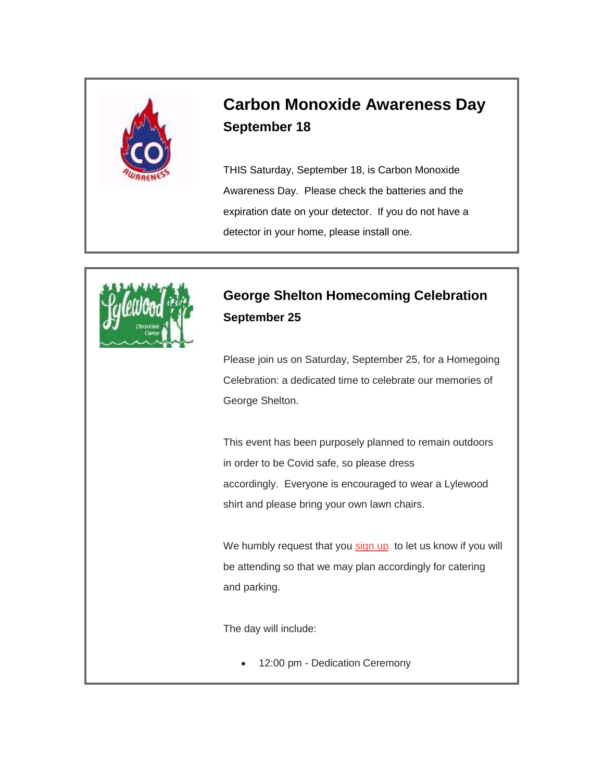

# **Carbon Monoxide Awareness Day September 18**

THIS Saturday, September 18, is Carbon Monoxide Awareness Day. Please check the batteries and the expiration date on your detector. If you do not have a detector in your home, please install one.



## **George Shelton Homecoming Celebration September 25**

Please join us on Saturday, September 25, for a Homegoing Celebration: a dedicated time to celebrate our memories of George Shelton.

This event has been purposely planned to remain outdoors in order to be Covid safe, so please dress accordingly. Everyone is encouraged to wear a Lylewood shirt and please bring your own lawn chairs.

We humbly request that you [sign up](https://2pz5j.r.bh.d.sendibt3.com/mk/cl/f/PLweeD8WetKxAGSHoLf8Jlkx6iGbYM_oZQN7_n1ANCM9H0XHbqfojIabLy7SbszcHHi14c5Kao-S2WaK3C4E7zXJFpa9XdQmYmyW1PXaH_tr9q6cu9BOuXtzma5MhHRpSEo7o9NjBdYs1bEhnBpVufeye3iWE3VNq6ND8O_2exu7oewqzSPb8r1EfC5IlDSXypAGSdONsZq1_Lq2YgdXxvnFRw1Xq5Rh1sdUioyL8V9afliIFWT09LNVThs3a1S5HHc8bqngOueif1TOgHjxE8DTi2i2v8sBPzaSxZAv3ogLnMSZe-QowUDSYG2PUc01tOWDbJznaSXKuMGmrRQjPxIQMIVZ) to let us know if you will be attending so that we may plan accordingly for catering and parking.

The day will include:

12:00 pm - Dedication Ceremony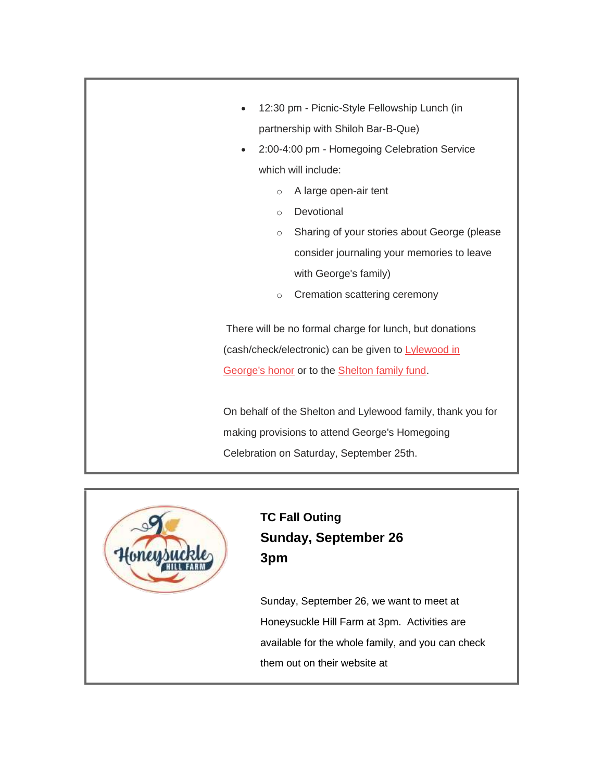- 12:30 pm Picnic-Style Fellowship Lunch (in partnership with Shiloh Bar-B-Que)
- 2:00-4:00 pm Homegoing Celebration Service which will include:
	- o A large open-air tent
	- o Devotional
	- o Sharing of your stories about George (please consider journaling your memories to leave with George's family)
	- o Cremation scattering ceremony

There will be no formal charge for lunch, but donations (cash/check/electronic) can be given to **Lylewood in** [George's honor](https://2pz5j.r.bh.d.sendibt3.com/mk/cl/f/QNRt5SkjquAukcV9C64WjLk2TH-hz7g-FmeGcULU3QBESn4IE3PIAdN2Rv-wwEJLmLqzqu3Qp3cMiXyyddd2yJ0ZwAYt4pZ1Kzfx5qqngw4D2rXGsMr-tBCOPX0fzUquL9yAzYgFGfIm1Xo42xWBWQxezq9_a4IROp52igwgJtfhufk9Gda4ObWTjbsPf20I2jZBLETXVLEMcYHnIRvX-HFrTi2jmn0xxYuxR2Yah40u26oUOH60CqY9IbCxwoqi3-dyhZL-s5J6dvew-diazRuHX9fiA3niVb0) or to the **Shelton family fund**.

On behalf of the Shelton and Lylewood family, thank you for making provisions to attend George's Homegoing Celebration on Saturday, September 25th.



# **TC Fall Outing Sunday, September 26 3pm**

Sunday, September 26, we want to meet at Honeysuckle Hill Farm at 3pm. Activities are available for the whole family, and you can check them out on their website at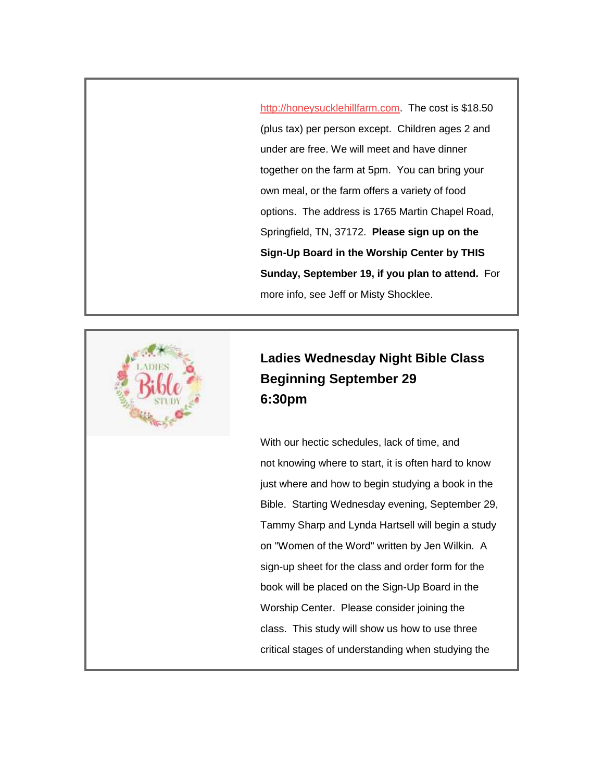[http://honeysucklehillfarm.com.](http://honeysucklehillfarm.com/) The cost is \$18.50 (plus tax) per person except. Children ages 2 and under are free. We will meet and have dinner together on the farm at 5pm. You can bring your own meal, or the farm offers a variety of food options. The address is 1765 Martin Chapel Road, Springfield, TN, 37172. **Please sign up on the Sign-Up Board in the Worship Center by THIS Sunday, September 19, if you plan to attend.** For more info, see Jeff or Misty Shocklee.



# **Ladies Wednesday Night Bible Class Beginning September 29 6:30pm**

With our hectic schedules, lack of time, and not knowing where to start, it is often hard to know just where and how to begin studying a book in the Bible. Starting Wednesday evening, September 29, Tammy Sharp and Lynda Hartsell will begin a study on "Women of the Word" written by Jen Wilkin. A sign-up sheet for the class and order form for the book will be placed on the Sign-Up Board in the Worship Center. Please consider joining the class. This study will show us how to use three critical stages of understanding when studying the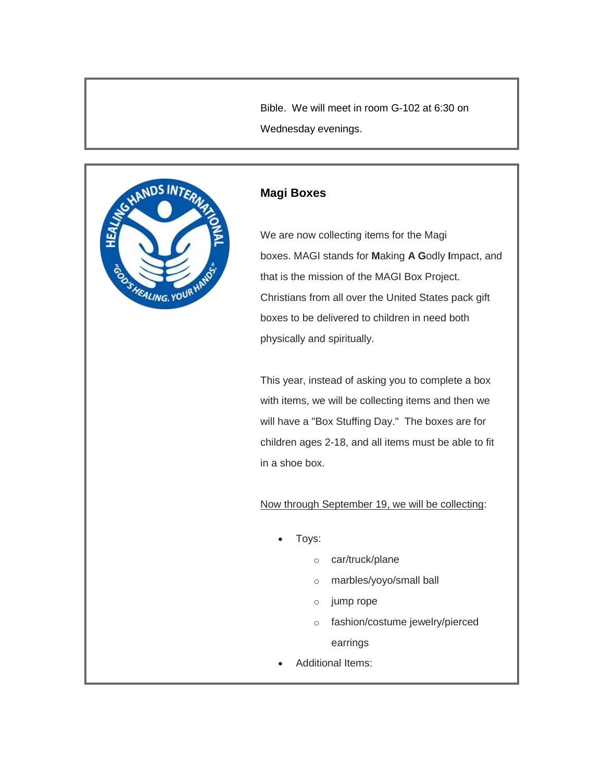Bible. We will meet in room G-102 at 6:30 on Wednesday evenings.



#### **Magi Boxes**

We are now collecting items for the Magi boxes. MAGI stands for **M**aking **A G**odly **I**mpact, and that is the mission of the MAGI Box Project. Christians from all over the United States pack gift boxes to be delivered to children in need both physically and spiritually.

This year, instead of asking you to complete a box with items, we will be collecting items and then we will have a "Box Stuffing Day." The boxes are for children ages 2-18, and all items must be able to fit in a shoe box.

Now through September 19, we will be collecting:

- Toys:
	- o car/truck/plane
	- o marbles/yoyo/small ball
	- o jump rope
	- o fashion/costume jewelry/pierced earrings
- Additional Items: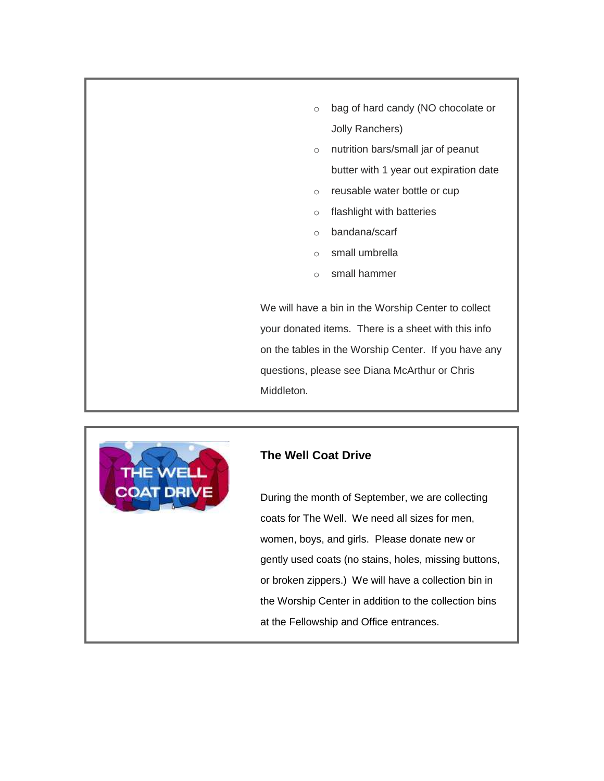- o bag of hard candy (NO chocolate or Jolly Ranchers)
- o nutrition bars/small jar of peanut butter with 1 year out expiration date
- o reusable water bottle or cup
- o flashlight with batteries
- o bandana/scarf
- o small umbrella
- o small hammer

We will have a bin in the Worship Center to collect your donated items. There is a sheet with this info on the tables in the Worship Center. If you have any questions, please see Diana McArthur or Chris Middleton.



#### **The Well Coat Drive**

During the month of September, we are collecting coats for The Well. We need all sizes for men, women, boys, and girls. Please donate new or gently used coats (no stains, holes, missing buttons, or broken zippers.) We will have a collection bin in the Worship Center in addition to the collection bins at the Fellowship and Office entrances.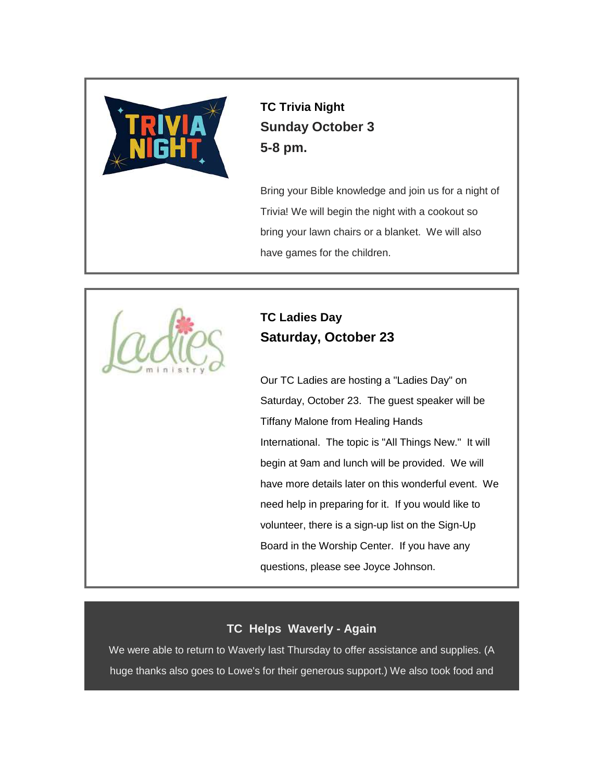

**TC Trivia Night Sunday October 3 5-8 pm.**

Bring your Bible knowledge and join us for a night of Trivia! We will begin the night with a cookout so bring your lawn chairs or a blanket. We will also have games for the children.



## **TC Ladies Day Saturday, October 23**

Our TC Ladies are hosting a "Ladies Day" on Saturday, October 23. The guest speaker will be Tiffany Malone from Healing Hands International. The topic is "All Things New." It will begin at 9am and lunch will be provided. We will have more details later on this wonderful event. We need help in preparing for it. If you would like to volunteer, there is a sign-up list on the Sign-Up Board in the Worship Center. If you have any questions, please see Joyce Johnson.

### **TC Helps Waverly - Again**

We were able to return to Waverly last Thursday to offer assistance and supplies. (A huge thanks also goes to Lowe's for their generous support.) We also took food and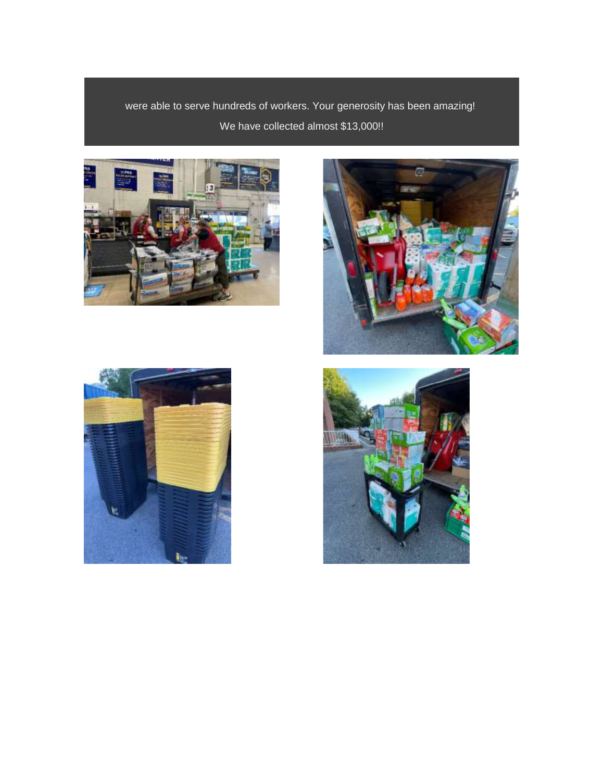were able to serve hundreds of workers. Your generosity has been amazing! We have collected almost \$13,000!!







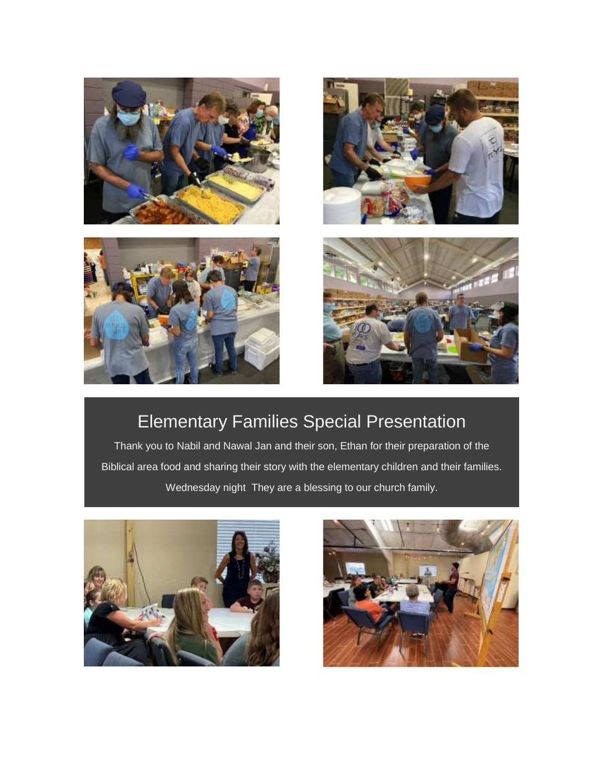







# Elementary Families Special Presentation

Thank you to Nabil and Nawal Jan and their son, Ethan for their preparation of the Biblical area food and sharing their story with the elementary children and their families. Wednesday night They are a blessing to our church family.



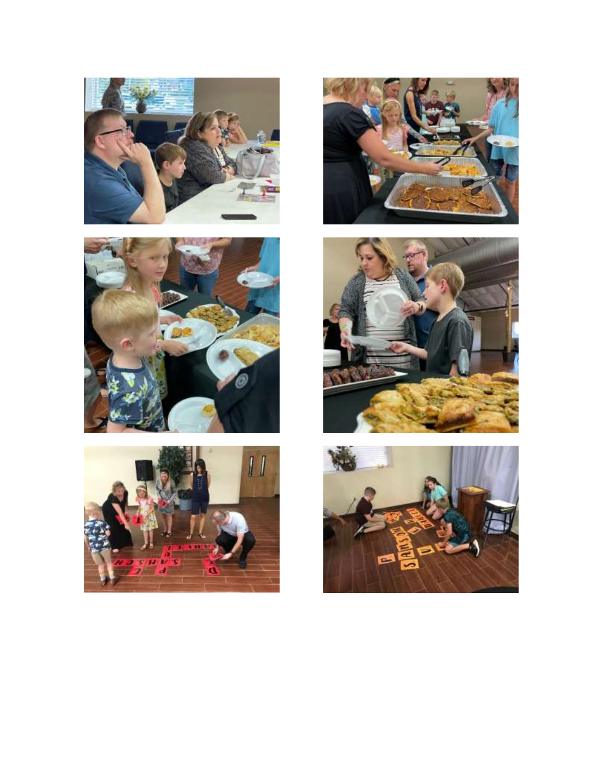









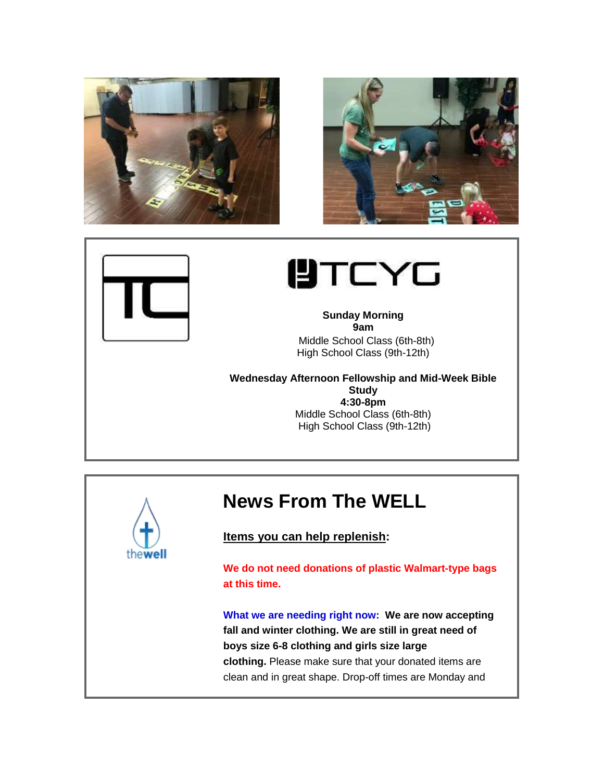





# **UTCYG**

**Sunday Morning 9am** Middle School Class (6th-8th) High School Class (9th-12th)

**Wednesday Afternoon Fellowship and Mid-Week Bible Study 4:30-8pm** Middle School Class (6th-8th) High School Class (9th-12th)



# **News From The WELL**

**Items you can help replenish:**

**We do not need donations of plastic Walmart-type bags at this time.**

**What we are needing right now: We are now accepting fall and winter clothing. We are still in great need of boys size 6-8 clothing and girls size large clothing.** Please make sure that your donated items are clean and in great shape. Drop-off times are Monday and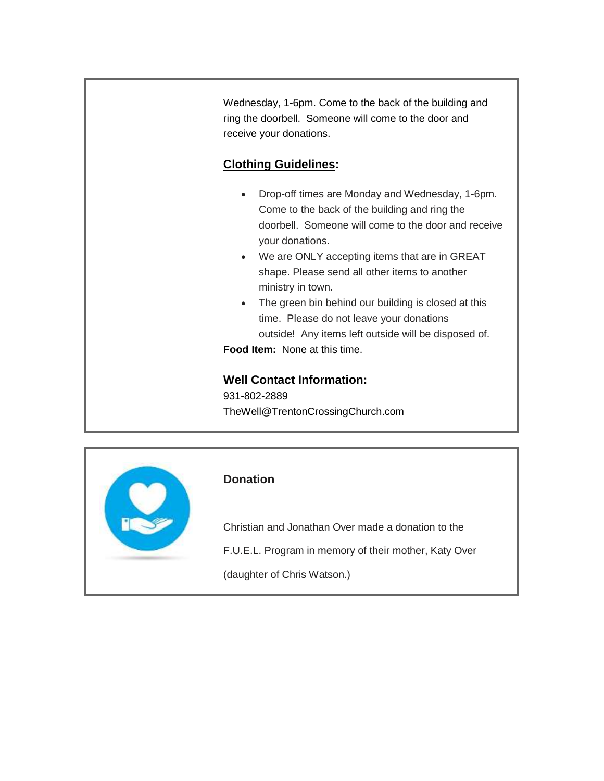Wednesday, 1-6pm. Come to the back of the building and ring the doorbell. Someone will come to the door and receive your donations.

#### **Clothing Guidelines:**

- Drop-off times are Monday and Wednesday, 1-6pm. Come to the back of the building and ring the doorbell. Someone will come to the door and receive your donations.
- We are ONLY accepting items that are in GREAT shape. Please send all other items to another ministry in town.
- The green bin behind our building is closed at this time. Please do not leave your donations outside! Any items left outside will be disposed of.

**Food Item:** None at this time.

#### **Well Contact Information:**

931-802-2889 TheWell@TrentonCrossingChurch.com



#### **Donation**

Christian and Jonathan Over made a donation to the

F.U.E.L. Program in memory of their mother, Katy Over

(daughter of Chris Watson.)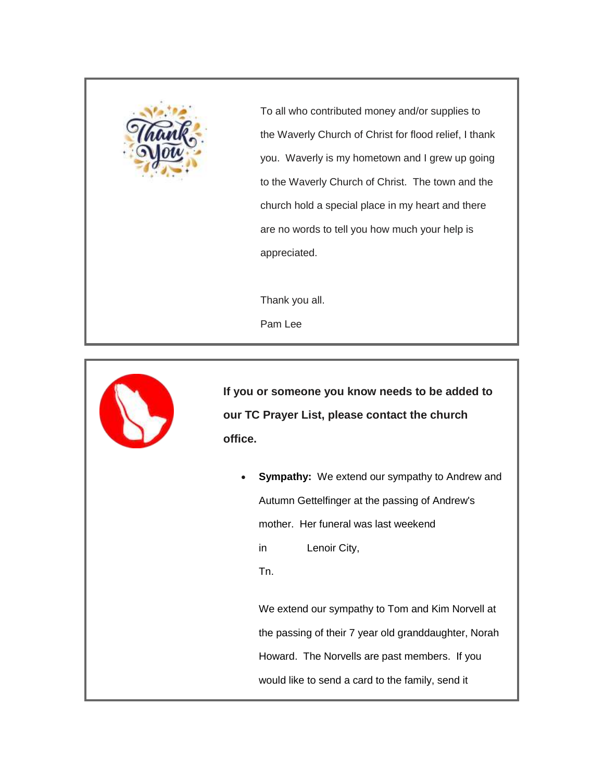

To all who contributed money and/or supplies to the Waverly Church of Christ for flood relief, I thank you. Waverly is my hometown and I grew up going to the Waverly Church of Christ. The town and the church hold a special place in my heart and there are no words to tell you how much your help is appreciated.

Thank you all.

Pam Lee



**If you or someone you know needs to be added to our TC Prayer List, please contact the church office.**

 **Sympathy:** We extend our sympathy to Andrew and Autumn Gettelfinger at the passing of Andrew's mother. Her funeral was last weekend in Lenoir City,

Tn.

We extend our sympathy to Tom and Kim Norvell at the passing of their 7 year old granddaughter, Norah Howard. The Norvells are past members. If you would like to send a card to the family, send it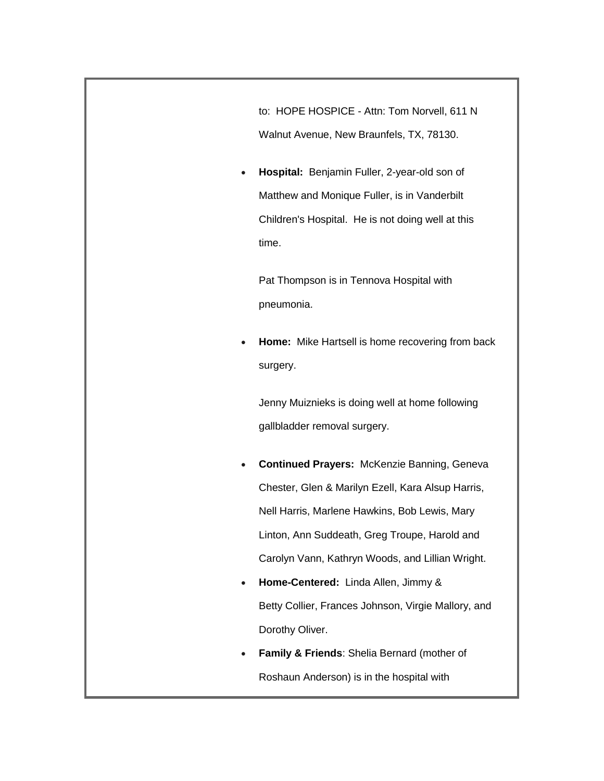to: HOPE HOSPICE - Attn: Tom Norvell, 611 N Walnut Avenue, New Braunfels, TX, 78130.

 **Hospital:** Benjamin Fuller, 2-year-old son of Matthew and Monique Fuller, is in Vanderbilt Children's Hospital. He is not doing well at this time.

Pat Thompson is in Tennova Hospital with pneumonia.

 **Home:** Mike Hartsell is home recovering from back surgery.

Jenny Muiznieks is doing well at home following gallbladder removal surgery.

- **Continued Prayers:** McKenzie Banning, Geneva Chester, Glen & Marilyn Ezell, Kara Alsup Harris, Nell Harris, Marlene Hawkins, Bob Lewis, Mary Linton, Ann Suddeath, Greg Troupe, Harold and Carolyn Vann, Kathryn Woods, and Lillian Wright.
- **Home-Centered:** Linda Allen, Jimmy & Betty Collier, Frances Johnson, Virgie Mallory, and Dorothy Oliver.
- **Family & Friends**: Shelia Bernard (mother of Roshaun Anderson) is in the hospital with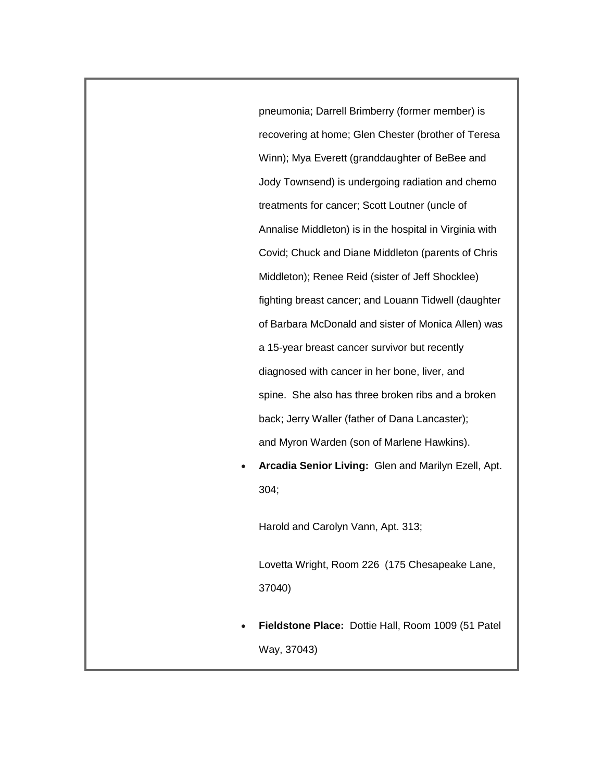pneumonia; Darrell Brimberry (former member) is recovering at home; Glen Chester (brother of Teresa Winn); Mya Everett (granddaughter of BeBee and Jody Townsend) is undergoing radiation and chemo treatments for cancer; Scott Loutner (uncle of Annalise Middleton) is in the hospital in Virginia with Covid; Chuck and Diane Middleton (parents of Chris Middleton); Renee Reid (sister of Jeff Shocklee) fighting breast cancer; and Louann Tidwell (daughter of Barbara McDonald and sister of Monica Allen) was a 15-year breast cancer survivor but recently diagnosed with cancer in her bone, liver, and spine. She also has three broken ribs and a broken back; Jerry Waller (father of Dana Lancaster); and Myron Warden (son of Marlene Hawkins).

 **Arcadia Senior Living:** Glen and Marilyn Ezell, Apt. 304;

Harold and Carolyn Vann, Apt. 313;

Lovetta Wright, Room 226 (175 Chesapeake Lane, 37040)

 **Fieldstone Place:** Dottie Hall, Room 1009 (51 Patel Way, 37043)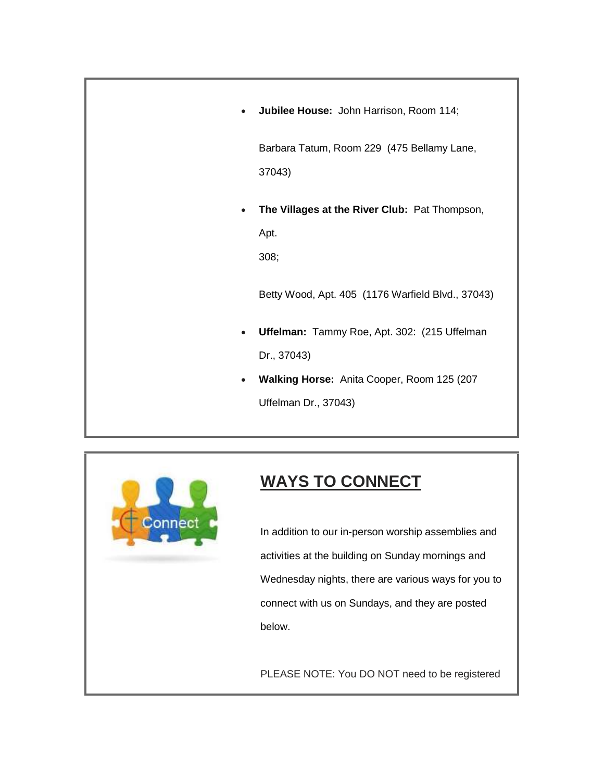**Jubilee House:** John Harrison, Room 114;

Barbara Tatum, Room 229 (475 Bellamy Lane, 37043)

 **The Villages at the River Club:** Pat Thompson, Apt. 308;

Betty Wood, Apt. 405 (1176 Warfield Blvd., 37043)

- **Uffelman:** Tammy Roe, Apt. 302: (215 Uffelman Dr., 37043)
- **Walking Horse:** Anita Cooper, Room 125 (207 Uffelman Dr., 37043)



# **WAYS TO CONNECT**

In addition to our in-person worship assemblies and activities at the building on Sunday mornings and Wednesday nights, there are various ways for you to connect with us on Sundays, and they are posted below.

PLEASE NOTE: You DO NOT need to be registered